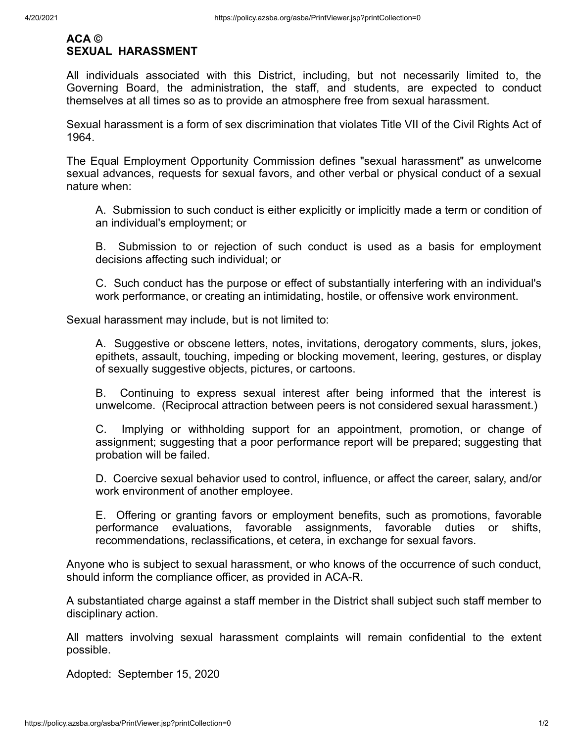## **ACA © SEXUAL HARASSMENT**

All individuals associated with this District, including, but not necessarily limited to, the Governing Board, the administration, the staff, and students, are expected to conduct themselves at all times so as to provide an atmosphere free from sexual harassment.

Sexual harassment is a form of sex discrimination that violates Title VII of the Civil Rights Act of 1964.

The Equal Employment Opportunity Commission defines "sexual harassment" as unwelcome sexual advances, requests for sexual favors, and other verbal or physical conduct of a sexual nature when:

A. Submission to such conduct is either explicitly or implicitly made a term or condition of an individual's employment; or

B. Submission to or rejection of such conduct is used as a basis for employment decisions affecting such individual; or

C. Such conduct has the purpose or effect of substantially interfering with an individual's work performance, or creating an intimidating, hostile, or offensive work environment.

Sexual harassment may include, but is not limited to:

A. Suggestive or obscene letters, notes, invitations, derogatory comments, slurs, jokes, epithets, assault, touching, impeding or blocking movement, leering, gestures, or display of sexually suggestive objects, pictures, or cartoons.

B. Continuing to express sexual interest after being informed that the interest is unwelcome. (Reciprocal attraction between peers is not considered sexual harassment.)

C. Implying or withholding support for an appointment, promotion, or change of assignment; suggesting that a poor performance report will be prepared; suggesting that probation will be failed.

D. Coercive sexual behavior used to control, influence, or affect the career, salary, and/or work environment of another employee.

E. Offering or granting favors or employment benefits, such as promotions, favorable performance evaluations, favorable assignments, favorable duties or shifts, recommendations, reclassifications, et cetera, in exchange for sexual favors.

Anyone who is subject to sexual harassment, or who knows of the occurrence of such conduct, should inform the compliance officer, as provided in ACA-R.

A substantiated charge against a staff member in the District shall subject such staff member to disciplinary action.

All matters involving sexual harassment complaints will remain confidential to the extent possible.

Adopted: September 15, 2020